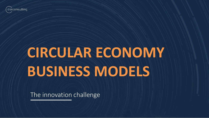

# **CIRCULAR ECONOMY BUSINESS MODELS**

The innovation challenge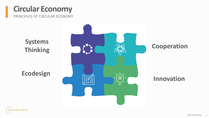### **Circular Economy**

PRINCIPLES OF CIRCULAR ECONOMY

**Systems Thinking Cooperation Ecodesign**හි

#### **Innovation**

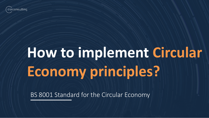

# **How to implement Circular Economy principles?**

BS 8001 Standard for the Circular Economy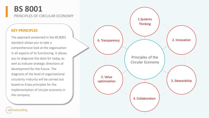#### **BS 8001**

PRINCIPLES OF CIRCULAR ECONOMY

#### **KEY PRINCIPLES**

csrconsulting

The approach presented in the BS 8001 standard allows you to take a comprehensive look at the organization in all aspects of its functioning. It allows you to diagnose the state for today, as well as indicate strategic directions of development for the future. The diagnosis of the level of organizational circularity maturity will be carried out based on 6 key principles for the implementation of circular economy in the company.

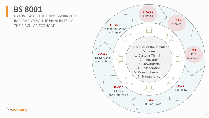### **BS 8001**

OVERVIEW OF THE FRAMEWORK FOR IMPLEMENTING THE PRINCIPLES OF THE CIRCULAR ECONOMY



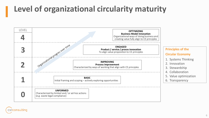## **Level of organizational circularity maturity**



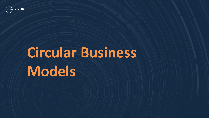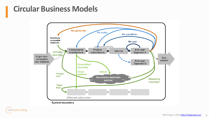

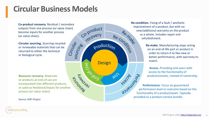Co-product recovery. Residual / secondary outputs from one process (or value chain) become inputs for another process (or value chain).

**Circular sourcing.** Sourcing recycled or renewable materials that can be returned to either the technical or biological cycle.

**Resource recovery. Materials** or products at end-of-use are incorporated into different products. or used as feedstock/inputs for another process (or value chain).

Source: R2Pi Project

csrconsulting



Re-condition. Fixing of a fault / aesthetic improvement of a product, but with no new/additional warranty on the product as a whole. Includes repair and refurbishment.

> Re-make. Manufacturing steps acting on an end-of-life part or product in order to return it to like-new or better performance, with warranty to match.

**Access.** Providing end-users with access to the functionality of products/assets, instead of ownership.

Performance. Focus on guaranteed performance level or outcome based on the functionality of a product/asset. Typically provided as a product-service bundle.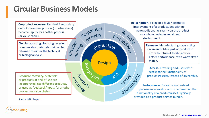Co-product

recovery

uso jours

production

**Design** 

350

Circulat

sourcing

Co-product recovery. Residual / secondary outputs from one process (or value chain) become inputs for another process (or value chain).

**Circular sourcing.** Sourcing recycled or renewable materials that can be returned to either the technical or biological cycle.

**BISLANDS** Resource recovery. Materials or products at end-of-use are incorporated into different products. or used as feedstock/inputs for another process (or value chain).

Source: R2Pi Project

Re-condition. Fixing of a fault / aesthetic improvement of a product, but with no Re-condition new/additional warranty on the product as a whole. Includes repair and refurbishment.

Re-make. Manufacturing steps acting on an end-of-life part or product in order to return it to like-new or better performance, with warranty to match.

**Access.** Providing end-users with access to the functionality of products/assets, instead of ownership.

Performance. Focus on guaranteed performance level or outcome based on the functionality of a product/asset. Typically provided as a product-service bundle.

csrconsulting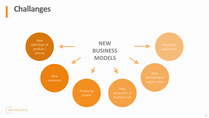

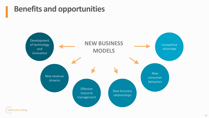### **Benefits and opportunities**